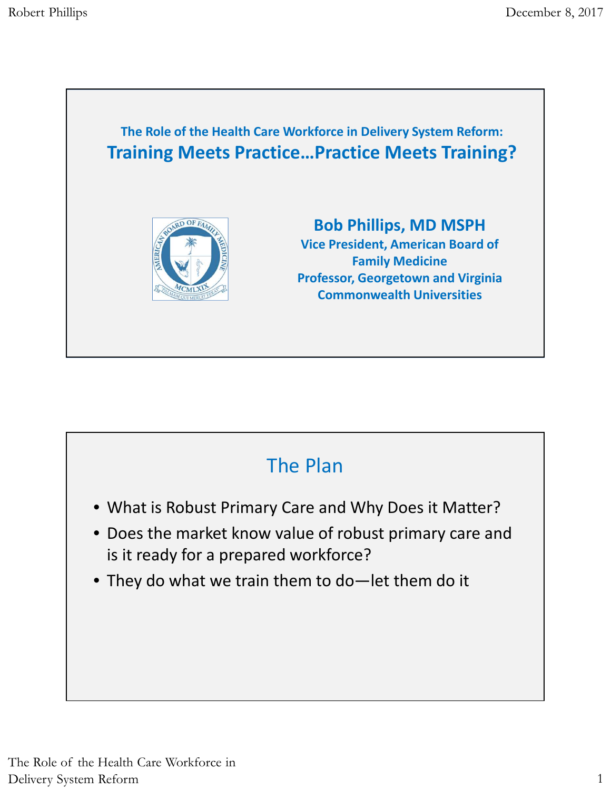

## The Plan

- What is Robust Primary Care and Why Does it Matter?
- Does the market know value of robust primary care and is it ready for a prepared workforce?
- They do what we train them to do—let them do it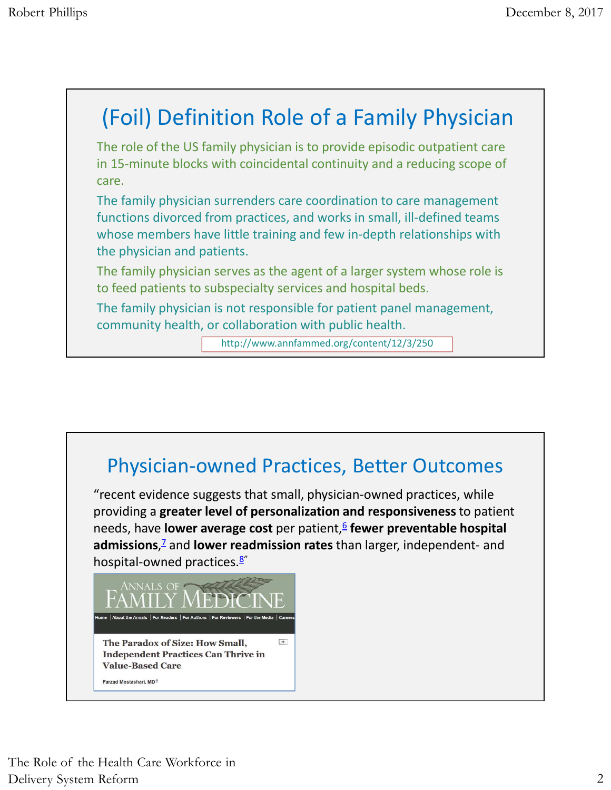## (Foil) Definition Role of a Family Physician The role of the US family physician is to provide episodic outpatient care in 15-minute blocks with coincidental continuity and a reducing scope of care. The family physician surrenders care coordination to care management functions divorced from practices, and works in small, ill-defined teams whose members have little training and few in-depth relationships with the physician and patients. The family physician serves as the agent of a larger system whose role is to feed patients to subspecialty services and hospital beds. The family physician is not responsible for patient panel management, community health, or collaboration with public health. http://www.annfammed.org/content/12/3/250

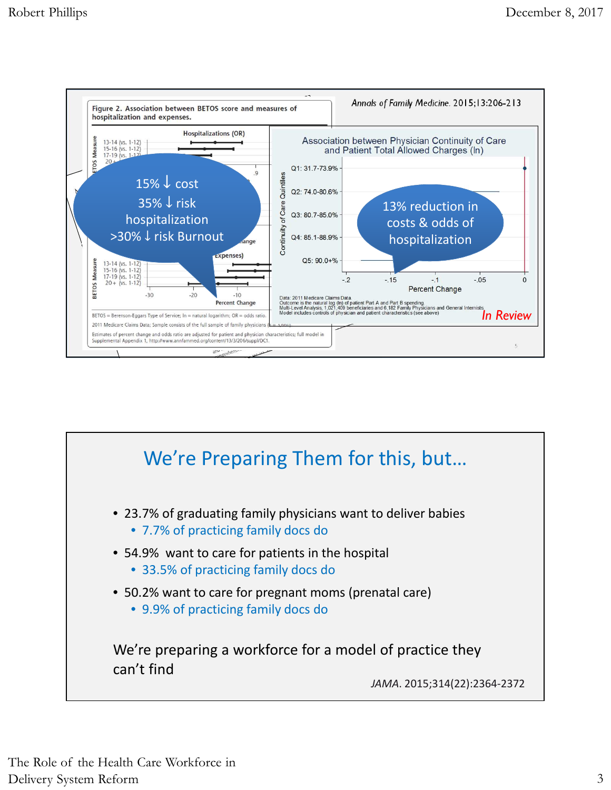

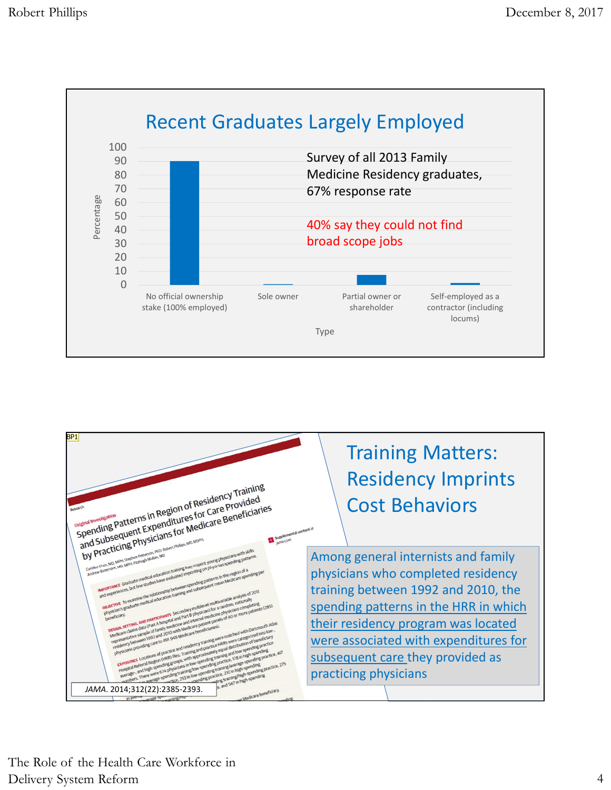



The Role of the Health Care Workforce in Delivery System Reform 4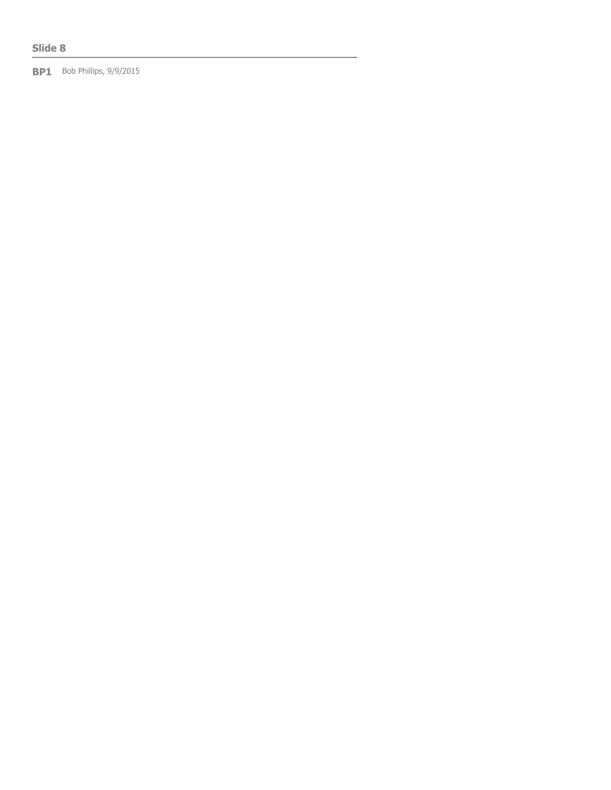## **Slide 8**

**BP1** Bob Phillips, 9/9/2015